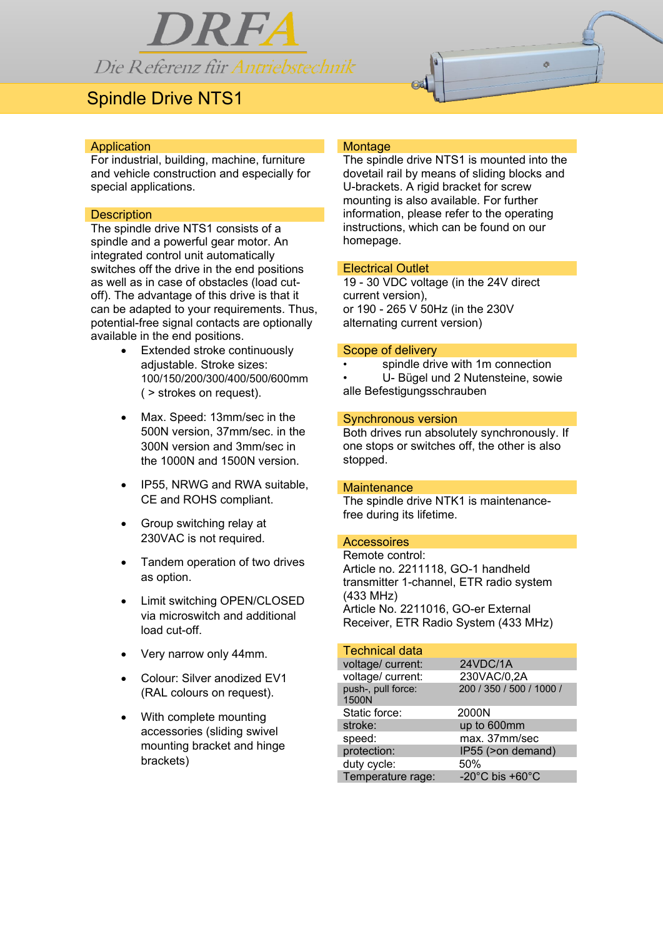

# Spindle Drive NTS1



## **Application**

For industrial, building, machine, furniture and vehicle construction and especially for special applications.

# **Description**

The spindle drive NTS1 consists of a spindle and a powerful gear motor. An integrated control unit automatically switches off the drive in the end positions as well as in case of obstacles (load cutoff). The advantage of this drive is that it can be adapted to your requirements. Thus, potential-free signal contacts are optionally available in the end positions.

- Extended stroke continuously adjustable. Stroke sizes: 100/150/200/300/400/500/600mm ( > strokes on request).
- Max. Speed: 13mm/sec in the 500N version, 37mm/sec. in the 300N version and 3mm/sec in the 1000N and 1500N version.
- IP55, NRWG and RWA suitable, CE and ROHS compliant.
- Group switching relay at 230VAC is not required.
- Tandem operation of two drives as option.
- Limit switching OPEN/CLOSED via microswitch and additional load cut-off.
- Very narrow only 44mm.
- Colour: Silver anodized EV1 (RAL colours on request).
- With complete mounting accessories (sliding swivel mounting bracket and hinge brackets)

# **Montage**

The spindle drive NTS1 is mounted into the dovetail rail by means of sliding blocks and U-brackets. A rigid bracket for screw mounting is also available. For further information, please refer to the operating instructions, which can be found on our homepage.

## Electrical Outlet

19 - 30 VDC voltage (in the 24V direct current version), or 190 - 265 V 50Hz (in the 230V alternating current version)

#### Scope of delivery

- spindle drive with 1m connection
- U- Bügel und 2 Nutensteine, sowie alle Befestigungsschrauben

### Synchronous version

Both drives run absolutely synchronously. If one stops or switches off, the other is also stopped.

## **Maintenance**

The spindle drive NTK1 is maintenancefree during its lifetime.

#### **Accessoires**

Remote control: Article no. 2211118, GO-1 handheld transmitter 1-channel, ETR radio system (433 MHz) Article No. 2211016, GO-er External Receiver, ETR Radio System (433 MHz)

# Technical data

| voltage/ current:           | 24VDC/1A                              |
|-----------------------------|---------------------------------------|
| voltage/ current:           | 230VAC/0,2A                           |
| push-, pull force:<br>1500N | 200 / 350 / 500 / 1000 /              |
| Static force:               | 2000N                                 |
| stroke:                     | up to 600mm                           |
| speed:                      | max. 37mm/sec                         |
| protection:                 | IP55 (>on demand)                     |
| duty cycle:                 | 50%                                   |
| Temperature rage:           | -20 $^{\circ}$ C bis +60 $^{\circ}$ C |